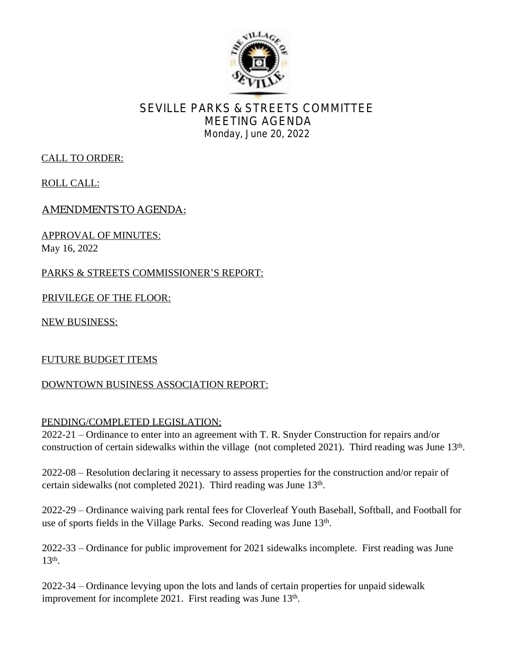

# SEVILLE PARKS & STREETS COMMITTEE MEETING AGENDA Monday, June 20, 2022

## CALL TO ORDER:

ROLL CALL:

AMENDMENTS TO AGENDA:

APPROVAL OF MINUTES: May 16, 2022

PARKS & STREETS COMMISSIONER'S REPORT:

PRIVILEGE OF THE FLOOR:

NEW BUSINESS:

#### FUTURE BUDGET ITEMS

#### DOWNTOWN BUSINESS ASSOCIATION REPORT:

#### PENDING/COMPLETED LEGISLATION:

2022-21 – Ordinance to enter into an agreement with T. R. Snyder Construction for repairs and/or construction of certain sidewalks within the village (not completed 2021). Third reading was June 13<sup>th</sup>.

2022-08 – Resolution declaring it necessary to assess properties for the construction and/or repair of certain sidewalks (not completed 2021). Third reading was June 13<sup>th</sup>.

2022-29 – Ordinance waiving park rental fees for Cloverleaf Youth Baseball, Softball, and Football for use of sports fields in the Village Parks. Second reading was June 13<sup>th</sup>.

2022-33 – Ordinance for public improvement for 2021 sidewalks incomplete. First reading was June 13th .

2022-34 – Ordinance levying upon the lots and lands of certain properties for unpaid sidewalk improvement for incomplete 2021. First reading was June 13<sup>th</sup>.